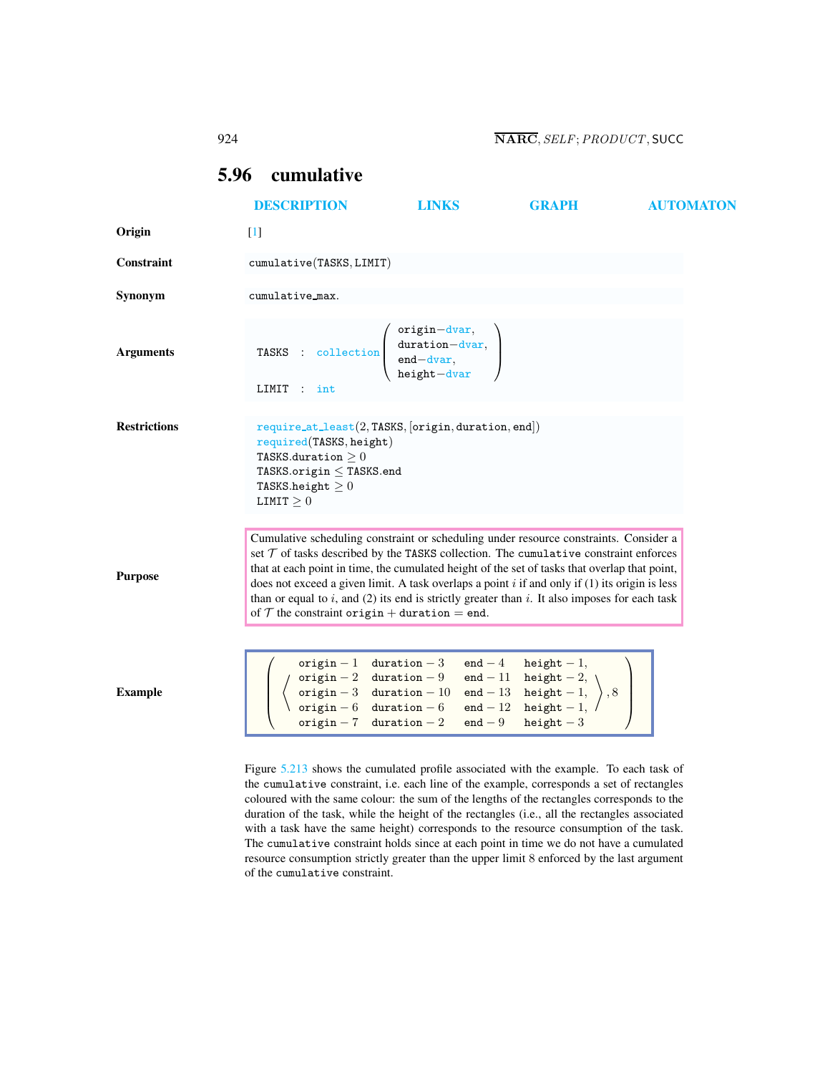# <span id="page-0-1"></span><span id="page-0-0"></span>5.96 cumulative

|                     | <b>DESCRIPTION</b>                                                                                                                                                                                                                                                                                                                                                                                                                                                                                                                      | <b>LINKS</b>                                                                                                                             | <b>GRAPH</b>                                                                                                                           | <b>AUTOMATON</b> |
|---------------------|-----------------------------------------------------------------------------------------------------------------------------------------------------------------------------------------------------------------------------------------------------------------------------------------------------------------------------------------------------------------------------------------------------------------------------------------------------------------------------------------------------------------------------------------|------------------------------------------------------------------------------------------------------------------------------------------|----------------------------------------------------------------------------------------------------------------------------------------|------------------|
| Origin              | $[1]$                                                                                                                                                                                                                                                                                                                                                                                                                                                                                                                                   |                                                                                                                                          |                                                                                                                                        |                  |
| Constraint          | cumulative(TASKS, LIMIT)                                                                                                                                                                                                                                                                                                                                                                                                                                                                                                                |                                                                                                                                          |                                                                                                                                        |                  |
| Synonym             | cumulative_max.                                                                                                                                                                                                                                                                                                                                                                                                                                                                                                                         |                                                                                                                                          |                                                                                                                                        |                  |
| <b>Arguments</b>    | TASKS : collection $\begin{pmatrix} origin-down, \\ duration-down, \\ end-down, \\ height-down \end{pmatrix}$<br>LIMIT : int                                                                                                                                                                                                                                                                                                                                                                                                            |                                                                                                                                          |                                                                                                                                        |                  |
| <b>Restrictions</b> | $require_at\_least(2, TASKS, [origin, duration, end])$<br>required(TASKS, height)<br>TASKS.duration $\geq 0$<br>TASKS.origin $\leq$ TASKS.end<br>TASKS.height $\geq 0$<br>LIMIT $\geq 0$                                                                                                                                                                                                                                                                                                                                                |                                                                                                                                          |                                                                                                                                        |                  |
| <b>Purpose</b>      | Cumulative scheduling constraint or scheduling under resource constraints. Consider a<br>set $T$ of tasks described by the TASKS collection. The cumulative constraint enforces<br>that at each point in time, the cumulated height of the set of tasks that overlap that point,<br>does not exceed a given limit. A task overlaps a point $i$ if and only if (1) its origin is less<br>than or equal to i, and (2) its end is strictly greater than i. It also imposes for each task<br>of $T$ the constraint origin + duration = end. |                                                                                                                                          |                                                                                                                                        |                  |
| <b>Example</b>      |                                                                                                                                                                                                                                                                                                                                                                                                                                                                                                                                         | origin $-1$ duration $-3$<br>origin - 2 duration - 9<br>origin - 3 duration - 10<br>origin - 6 duration - 6<br>origin $-7$ duration $-2$ | $end - 4$ height - 1,<br>end - 11 height - 2,<br>end - 13 height - 1,<br>end - 12 height - 1,<br>$\Big\}$ , 8<br>$end - 9$ height $-3$ |                  |

Figure [5.213](#page-1-0) shows the cumulated profile associated with the example. To each task of the cumulative constraint, i.e. each line of the example, corresponds a set of rectangles coloured with the same colour: the sum of the lengths of the rectangles corresponds to the duration of the task, while the height of the rectangles (i.e., all the rectangles associated with a task have the same height) corresponds to the resource consumption of the task. The cumulative constraint holds since at each point in time we do not have a cumulated resource consumption strictly greater than the upper limit 8 enforced by the last argument of the cumulative constraint.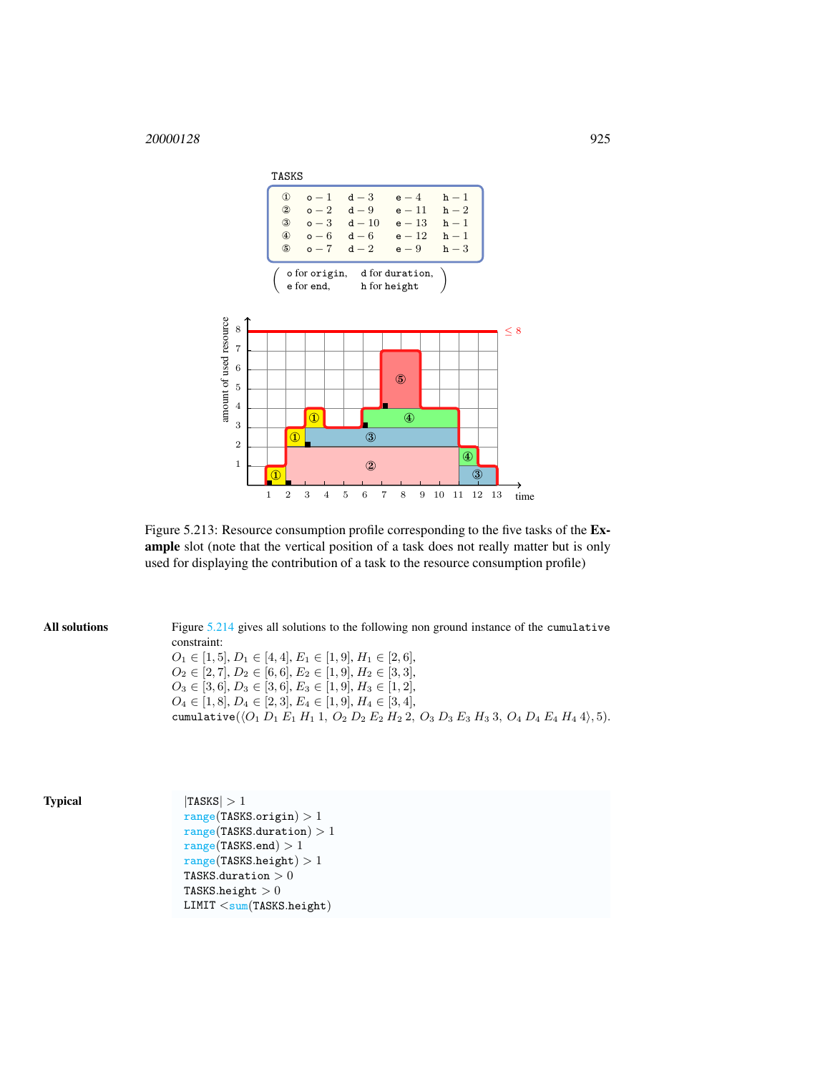

<span id="page-1-0"></span>Figure 5.213: Resource consumption profile corresponding to the five tasks of the Example slot (note that the vertical position of a task does not really matter but is only used for displaying the contribution of a task to the resource consumption profile)

| All solutions | Figure 5.214 gives all solutions to the following non ground instance of the cumulative<br>constraint:         |
|---------------|----------------------------------------------------------------------------------------------------------------|
|               | $O_1 \in [1, 5], D_1 \in [4, 4], E_1 \in [1, 9], H_1 \in [2, 6],$                                              |
|               | $O_2 \in [2, 7], D_2 \in [6, 6], E_2 \in [1, 9], H_2 \in [3, 3],$                                              |
|               | $O_3 \in [3,6], D_3 \in [3,6], E_3 \in [1,9], H_3 \in [1,2],$                                                  |
|               | $O_4 \in [1, 8], D_4 \in [2, 3], E_4 \in [1, 9], H_4 \in [3, 4],$                                              |
|               | cumulative( $\langle O_1 D_1 E_1 H_1 I, O_2 D_2 E_2 H_2 2, O_3 D_3 E_3 H_3 3, O_4 D_4 E_4 H_4 4 \rangle, 5$ ). |

|  | n | ю | u |
|--|---|---|---|
|  |   |   |   |

 $\textbf{Typical}$  |TASKS| > 1  $range(TASKS.origin) > 1$  $range(TASKS.duration) > 1$  $range(TASKS.end) > 1$  $range(TASKS.height) > 1$ TASKS.duration  $>0$ TASKS.height  $> 0$ LIMIT <sum(TASKS.height)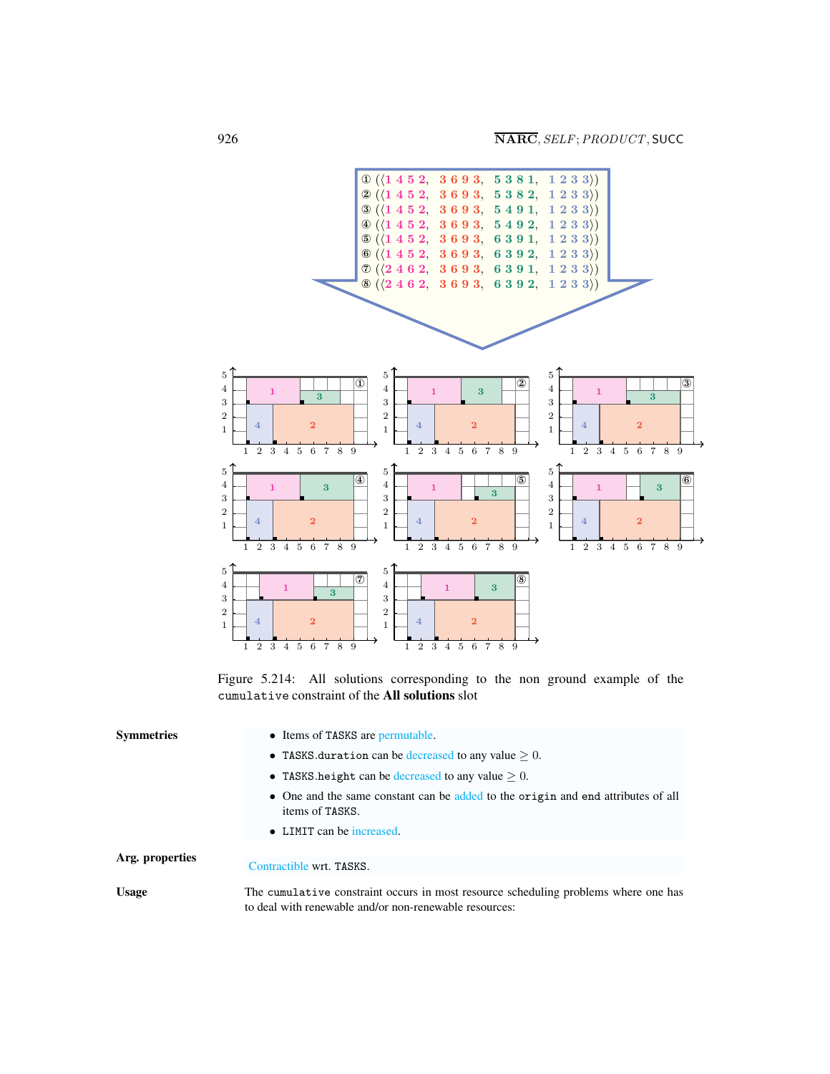

<span id="page-2-0"></span>Figure 5.214: All solutions corresponding to the non ground example of the cumulative constraint of the All solutions slot

| <b>Symmetries</b> | • Items of TASKS are permutable.                                                                                                              |
|-------------------|-----------------------------------------------------------------------------------------------------------------------------------------------|
|                   | • TASKS duration can be decreased to any value $> 0$ .                                                                                        |
|                   | • TASKS height can be decreased to any value $> 0$ .                                                                                          |
|                   | • One and the same constant can be added to the origin and end attributes of all<br>items of TASKS.                                           |
|                   | • LIMIT can be increased.                                                                                                                     |
| Arg. properties   |                                                                                                                                               |
|                   | Contractible wrt. TASKS.                                                                                                                      |
| <b>Usage</b>      | The cumulative constraint occurs in most resource scheduling problems where one has<br>to deal with renewable and/or non-renewable resources: |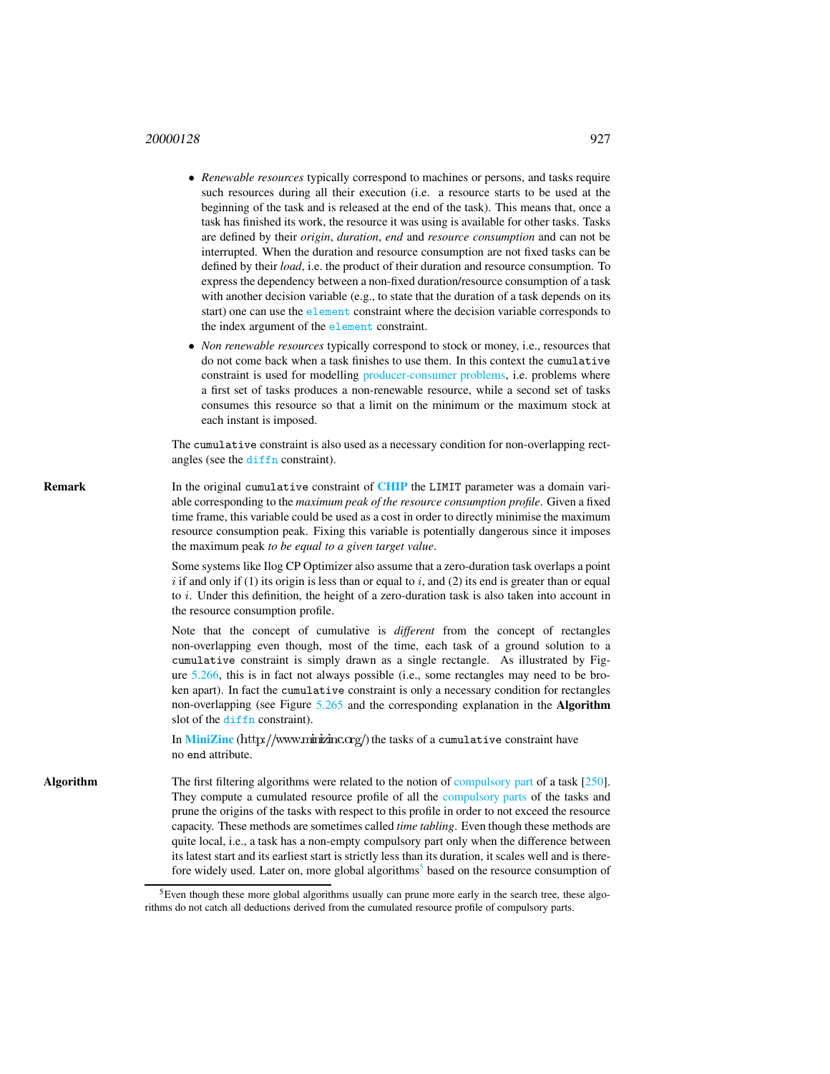#### <sup>20000128</sup> 927

- *Renewable resources* typically correspond to machines or persons, and tasks require such resources during all their execution (i.e. a resource starts to be used at the beginning of the task and is released at the end of the task). This means that, once a task has finished its work, the resource it was using is available for other tasks. Tasks are defined by their *origin*, *duration*, *end* and *resource consumption* and can not be interrupted. When the duration and resource consumption are not fixed tasks can be defined by their *load*, i.e. the product of their duration and resource consumption. To express the dependency between a non-fixed duration/resource consumption of a task with another decision variable (e.g., to state that the duration of a task depends on its start) one can use the element constraint where the decision variable corresponds to the index argument of the element constraint.
- *Non renewable resources* typically correspond to stock or money, i.e., resources that do not come back when a task finishes to use them. In this context the cumulative constraint is used for modelling producer-consumer problems, i.e. problems where a first set of tasks produces a non-renewable resource, while a second set of tasks consumes this resource so that a limit on the minimum or the maximum stock at each instant is imposed.

The cumulative constraint is also used as a necessary condition for non-overlapping rectangles (see the diffn constraint).

**Remark** In the original cumulative constraint of **[CHIP](http://www.cosytec.com)** the LIMIT parameter was a domain variable corresponding to the *maximum peak of the resource consumption profile*. Given a fixed time frame, this variable could be used as a cost in order to directly minimise the maximum resource consumption peak. Fixing this variable is potentially dangerous since it imposes the maximum peak *to be equal to a given target value*.

> Some systems like Ilog CP Optimizer also assume that a zero-duration task overlaps a point  $i$  if and only if (1) its origin is less than or equal to  $i$ , and (2) its end is greater than or equal to  $i$ . Under this definition, the height of a zero-duration task is also taken into account in the resource consumption profile.

> Note that the concept of cumulative is *different* from the concept of rectangles non-overlapping even though, most of the time, each task of a ground solution to a cumulative constraint is simply drawn as a single rectangle. As illustrated by Figure 5.266, this is in fact not always possible (i.e., some rectangles may need to be broken apart). In fact the cumulative constraint is only a necessary condition for rectangles non-overlapping (see Figure 5.265 and the corresponding explanation in the Algorithm slot of the diffn constraint).

In [MiniZinc](http://www.minizinc.org/) (http://www.minizinc.org/) the tasks of a cumulative constraint have no end attribute.

Algorithm The first filtering algorithms were related to the notion of compulsory part of a task [250]. They compute a cumulated resource profile of all the compulsory parts of the tasks and prune the origins of the tasks with respect to this profile in order to not exceed the resource capacity. These methods are sometimes called *time tabling*. Even though these methods are quite local, i.e., a task has a non-empty compulsory part only when the difference between its latest start and its earliest start is strictly less than its duration, it scales well and is there-fore widely used. Later on, more global algorithms<sup>[5](#page-3-0)</sup> based on the resource consumption of

<span id="page-3-0"></span> ${}^{5}$ Even though these more global algorithms usually can prune more early in the search tree, these algorithms do not catch all deductions derived from the cumulated resource profile of compulsory parts.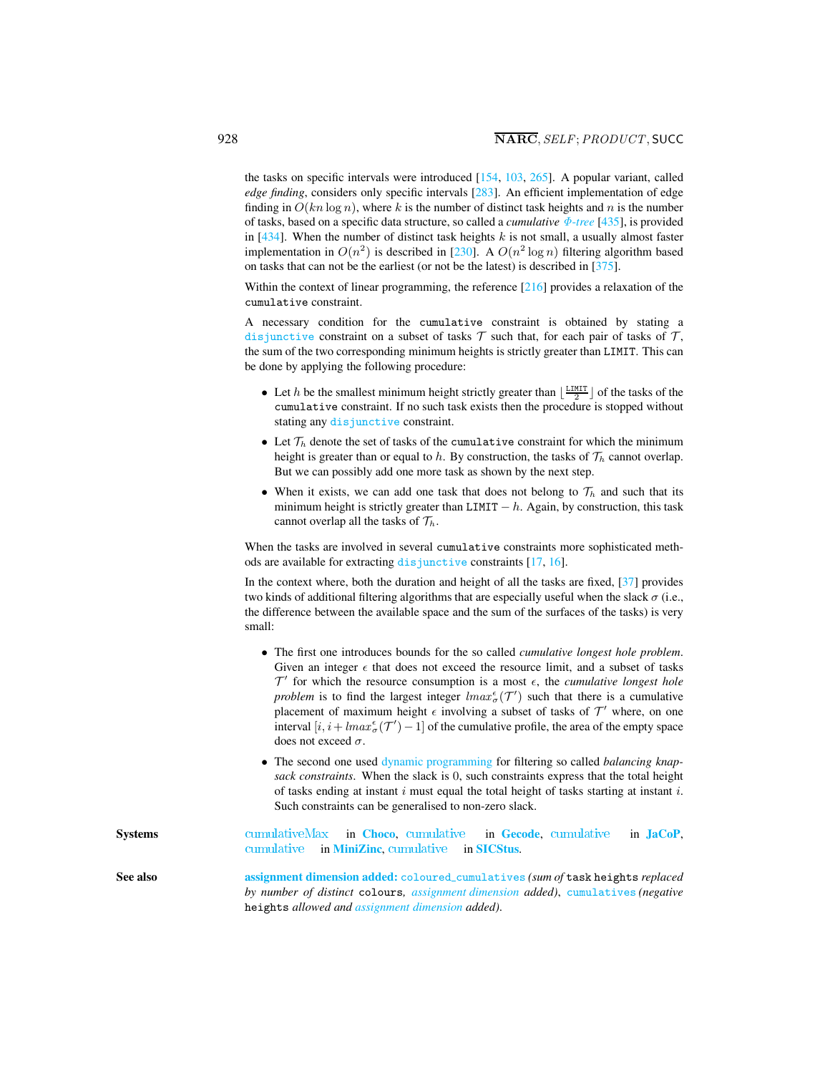the tasks on specific intervals were introduced [154, 103, 265]. A popular variant, called *edge finding*, considers only specific intervals [283]. An efficient implementation of edge finding in  $O(kn \log n)$ , where k is the number of distinct task heights and n is the number of tasks, based on a specific data structure, so called a *cumulative* Φ-*tree* [435], is provided in  $[434]$ . When the number of distinct task heights k is not small, a usually almost faster implementation in  $O(n^2)$  is described in [230]. A  $O(n^2 \log n)$  filtering algorithm based on tasks that can not be the earliest (or not be the latest) is described in [375].

Within the context of linear programming, the reference [216] provides a relaxation of the cumulative constraint.

A necessary condition for the cumulative constraint is obtained by stating a disjunctive constraint on a subset of tasks  $\mathcal T$  such that, for each pair of tasks of  $\mathcal T$ , the sum of the two corresponding minimum heights is strictly greater than LIMIT. This can be done by applying the following procedure:

- Let h be the smallest minimum height strictly greater than  $\lfloor \frac{LIMIT}{2} \rfloor$  of the tasks of the cumulative constraint. If no such task exists then the procedure is stopped without stating any disjunctive constraint.
- Let  $\mathcal{T}_h$  denote the set of tasks of the cumulative constraint for which the minimum height is greater than or equal to h. By construction, the tasks of  $\mathcal{T}_h$  cannot overlap. But we can possibly add one more task as shown by the next step.
- When it exists, we can add one task that does not belong to  $\mathcal{T}_h$  and such that its minimum height is strictly greater than LIMIT  $-h$ . Again, by construction, this task cannot overlap all the tasks of  $\mathcal{T}_h$ .

When the tasks are involved in several cumulative constraints more sophisticated methods are available for extracting disjunctive constraints [17, 16].

In the context where, both the duration and height of all the tasks are fixed, [37] provides two kinds of additional filtering algorithms that are especially useful when the slack  $\sigma$  (i.e., the difference between the available space and the sum of the surfaces of the tasks) is very small:

- The first one introduces bounds for the so called *cumulative longest hole problem*. Given an integer  $\epsilon$  that does not exceed the resource limit, and a subset of tasks  $\mathcal{T}'$  for which the resource consumption is a most  $\epsilon$ , the *cumulative longest hole problem* is to find the largest integer  $lmax_{\sigma}^{\epsilon}(T')$  such that there is a cumulative placement of maximum height  $\epsilon$  involving a subset of tasks of  $\mathcal{T}'$  where, on one interval  $[i, i + lmax_{\sigma}^{\epsilon}(\mathcal{T}') - 1]$  of the cumulative profile, the area of the empty space does not exceed  $\sigma$ .
- The second one used dynamic programming for filtering so called *balancing knapsack constraints*. When the slack is 0, such constraints express that the total height of tasks ending at instant  $i$  must equal the total height of tasks starting at instant  $i$ . Such constraints can be generalised to non-zero slack.

Systems cumulativeMax in [Choco](http://choco.emn.fr/), cumulative in [Gecode](http://www.gecode.org/), cumulative in [JaCoP](http://www.jacop.eu/), cumulative in [MiniZinc](http://www.g12.cs.mu.oz.au/minizinc/), cumulative in [SICStus](http://www.sics.se/sicstus/).

<span id="page-4-0"></span>See also assignment dimension added: coloured cumulatives *(sum of* task heights *replaced by number of distinct* colours*, assignment dimension added)*, cumulatives *(negative* heights *allowed and assignment dimension added)*.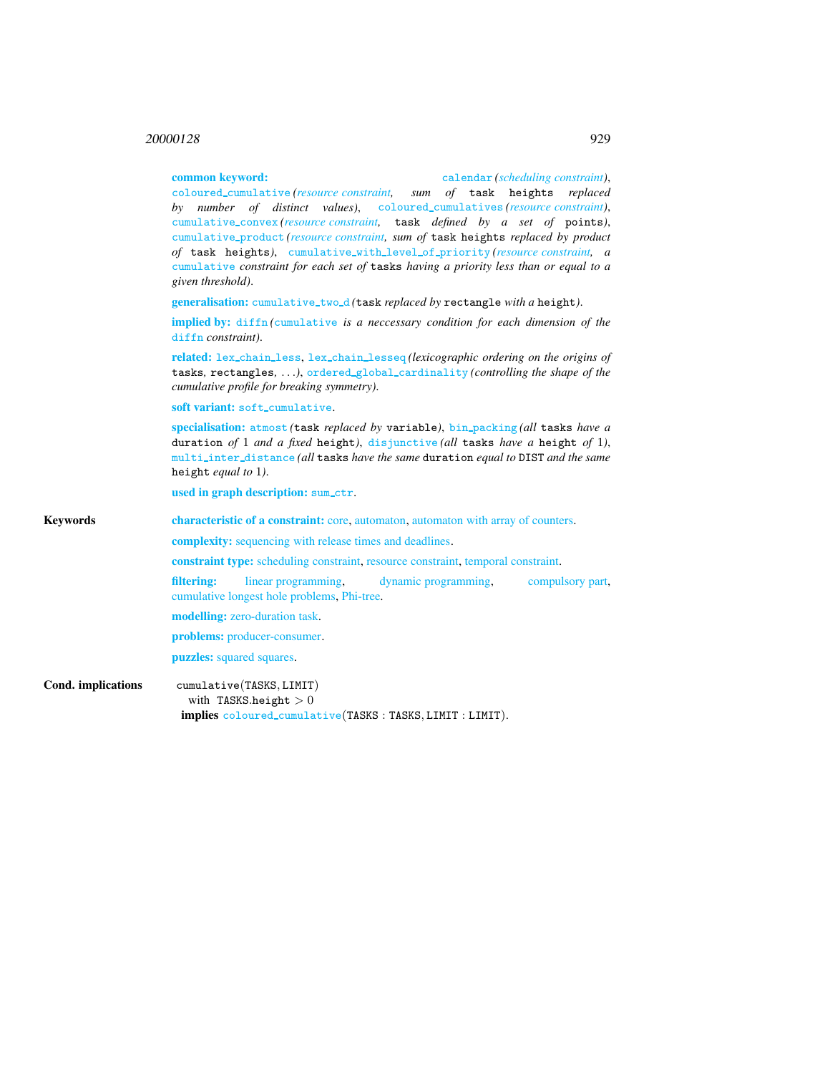## <sup>20000128</sup> 929

|                    | common keyword:<br>calendar (scheduling constraint),<br>coloured_cumulative(resource constraint, sum of task heights replaced<br>by number of distinct values), coloured_cumulatives (resource constraint),<br>cumulative_convex(resource constraint, task defined by a set of points),<br>cumulative_product (resource constraint, sum of task heights replaced by product<br>of task heights), cumulative_with_level_of_priority(resource constraint, a<br>cumulative constraint for each set of tasks having a priority less than or equal to a<br>given threshold). |  |  |  |  |
|--------------------|-------------------------------------------------------------------------------------------------------------------------------------------------------------------------------------------------------------------------------------------------------------------------------------------------------------------------------------------------------------------------------------------------------------------------------------------------------------------------------------------------------------------------------------------------------------------------|--|--|--|--|
|                    | generalisation: cumulative_two_d(task replaced by rectangle with a height).                                                                                                                                                                                                                                                                                                                                                                                                                                                                                             |  |  |  |  |
|                    | implied by: diffn (cumulative is a neccessary condition for each dimension of the<br>diffn constraint).                                                                                                                                                                                                                                                                                                                                                                                                                                                                 |  |  |  |  |
|                    | related: lex_chain_less, lex_chain_lesseq(lexicographic ordering on the origins of<br>tasks, rectangles, ), ordered_global_cardinality (controlling the shape of the<br>cumulative profile for breaking symmetry).                                                                                                                                                                                                                                                                                                                                                      |  |  |  |  |
|                    | soft variant: soft_cumulative.                                                                                                                                                                                                                                                                                                                                                                                                                                                                                                                                          |  |  |  |  |
|                    | specialisation: atmost (task replaced by variable), bin_packing(all tasks have a<br>duration of 1 and a fixed height), disjunctive (all tasks have a height of 1),<br>multi_inter_distance(all tasks have the same duration equal to DIST and the same<br>height <i>equal</i> to $1$ ).                                                                                                                                                                                                                                                                                 |  |  |  |  |
|                    | used in graph description: sum_ctr.                                                                                                                                                                                                                                                                                                                                                                                                                                                                                                                                     |  |  |  |  |
| <b>Keywords</b>    | <b>characteristic of a constraint:</b> core, automaton, automaton with array of counters.                                                                                                                                                                                                                                                                                                                                                                                                                                                                               |  |  |  |  |
|                    | complexity: sequencing with release times and deadlines.                                                                                                                                                                                                                                                                                                                                                                                                                                                                                                                |  |  |  |  |
|                    | <b>constraint type:</b> scheduling constraint, resource constraint, temporal constraint.                                                                                                                                                                                                                                                                                                                                                                                                                                                                                |  |  |  |  |
|                    | linear programming.<br>filtering:<br>dynamic programming.<br>compulsory part,<br>cumulative longest hole problems, Phi-tree.                                                                                                                                                                                                                                                                                                                                                                                                                                            |  |  |  |  |
|                    | modelling: zero-duration task.                                                                                                                                                                                                                                                                                                                                                                                                                                                                                                                                          |  |  |  |  |
|                    | problems: producer-consumer.                                                                                                                                                                                                                                                                                                                                                                                                                                                                                                                                            |  |  |  |  |
|                    | puzzles: squared squares.                                                                                                                                                                                                                                                                                                                                                                                                                                                                                                                                               |  |  |  |  |
| Cond. implications | cumulative(TASKS, LIMIT)<br>with TASKS.height $>0$                                                                                                                                                                                                                                                                                                                                                                                                                                                                                                                      |  |  |  |  |

implies coloured cumulative(TASKS : TASKS, LIMIT : LIMIT).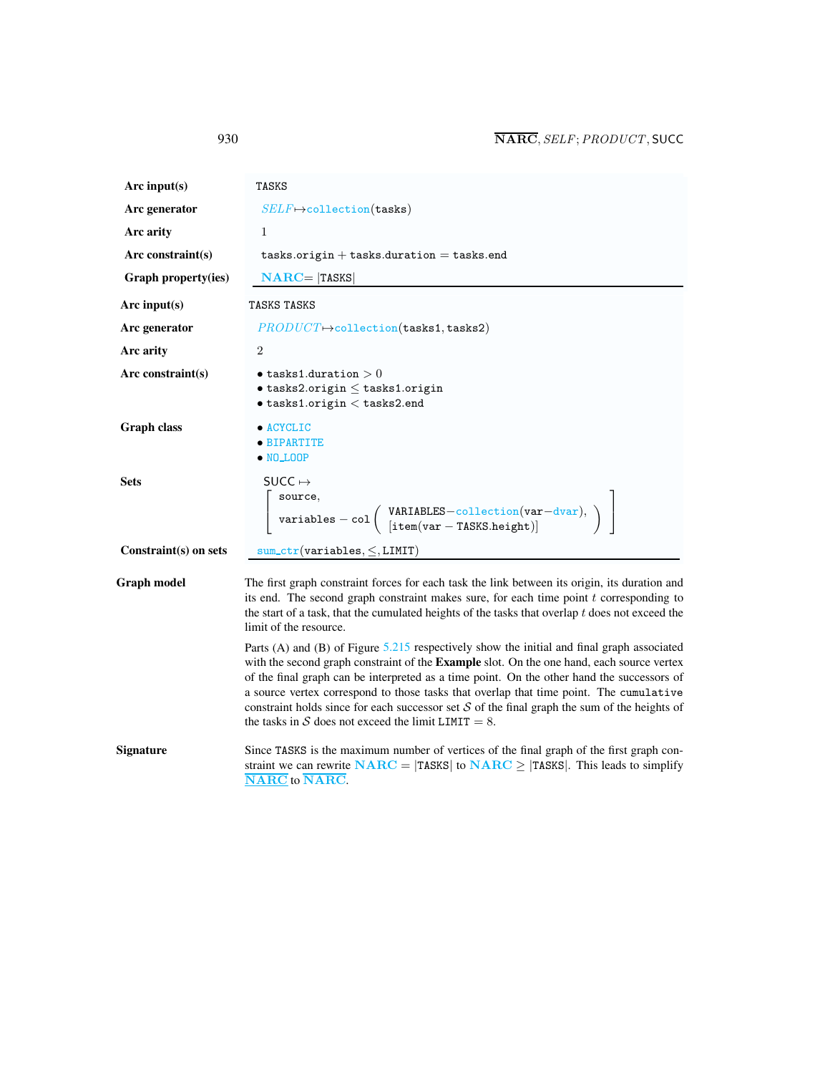| Arc input $(s)$       | <b>TASKS</b>                                                                                                                                                                                                                                                                                                                                                                                                                                                                                                                                    |  |  |
|-----------------------|-------------------------------------------------------------------------------------------------------------------------------------------------------------------------------------------------------------------------------------------------------------------------------------------------------------------------------------------------------------------------------------------------------------------------------------------------------------------------------------------------------------------------------------------------|--|--|
| Arc generator         | $SELF \mapsto$ collection(tasks)                                                                                                                                                                                                                                                                                                                                                                                                                                                                                                                |  |  |
| Arc arity             | 1                                                                                                                                                                                                                                                                                                                                                                                                                                                                                                                                               |  |  |
| Arc constraint $(s)$  | $tasks.origin + tasks.duration = tasks.end$                                                                                                                                                                                                                                                                                                                                                                                                                                                                                                     |  |  |
| Graph property(ies)   | $NARC =  TASKS $                                                                                                                                                                                                                                                                                                                                                                                                                                                                                                                                |  |  |
| Arc input $(s)$       | TASKS TASKS                                                                                                                                                                                                                                                                                                                                                                                                                                                                                                                                     |  |  |
| Arc generator         | $PRODUCT \rightarrow collection(tasks1, tasks2)$                                                                                                                                                                                                                                                                                                                                                                                                                                                                                                |  |  |
| Arc arity             | $\overline{2}$                                                                                                                                                                                                                                                                                                                                                                                                                                                                                                                                  |  |  |
| Arc constraint $(s)$  | $\bullet$ tasks1.duration $>0$<br>$\bullet$ tasks2.origin $\leq$ tasks1.origin<br>$\bullet$ tasks1.origin $<$ tasks2.end                                                                                                                                                                                                                                                                                                                                                                                                                        |  |  |
| <b>Graph class</b>    | $\bullet$ ACYCLIC<br>• BIPARTITE<br>$\bullet$ NO_LOOP                                                                                                                                                                                                                                                                                                                                                                                                                                                                                           |  |  |
| <b>Sets</b>           | SUCC $\mapsto$<br>source,<br>$\left[\begin{array}{cc} \texttt{variables} - \texttt{col} \left( \begin{array}{c} \texttt{VARIABLES}-\texttt{collection}(\texttt{var}-\texttt{dvar}),\\ \texttt{litem}(\texttt{var}-\texttt{IASNS.height}) \end{array} \right) \end{array}\right]$                                                                                                                                                                                                                                                                |  |  |
| Constraint(s) on sets | $sum_ctr(variables, \le, LIMIT)$                                                                                                                                                                                                                                                                                                                                                                                                                                                                                                                |  |  |
| <b>Graph model</b>    | The first graph constraint forces for each task the link between its origin, its duration and<br>its end. The second graph constraint makes sure, for each time point $t$ corresponding to<br>the start of a task, that the cumulated heights of the tasks that overlap $t$ does not exceed the<br>limit of the resource.                                                                                                                                                                                                                       |  |  |
|                       | Parts (A) and (B) of Figure 5.215 respectively show the initial and final graph associated<br>with the second graph constraint of the <b>Example</b> slot. On the one hand, each source vertex<br>of the final graph can be interpreted as a time point. On the other hand the successors of<br>a source vertex correspond to those tasks that overlap that time point. The cumulative<br>constraint holds since for each successor set $S$ of the final graph the sum of the heights of<br>the tasks in S does not exceed the limit LIMIT = 8. |  |  |

Signature Since TASKS is the maximum number of vertices of the final graph of the first graph constraint we can rewrite  $NARC = |TASKS|$  to  $NARC \ge |TASKS|$ . This leads to simplify NARC to NARC.

<span id="page-6-0"></span>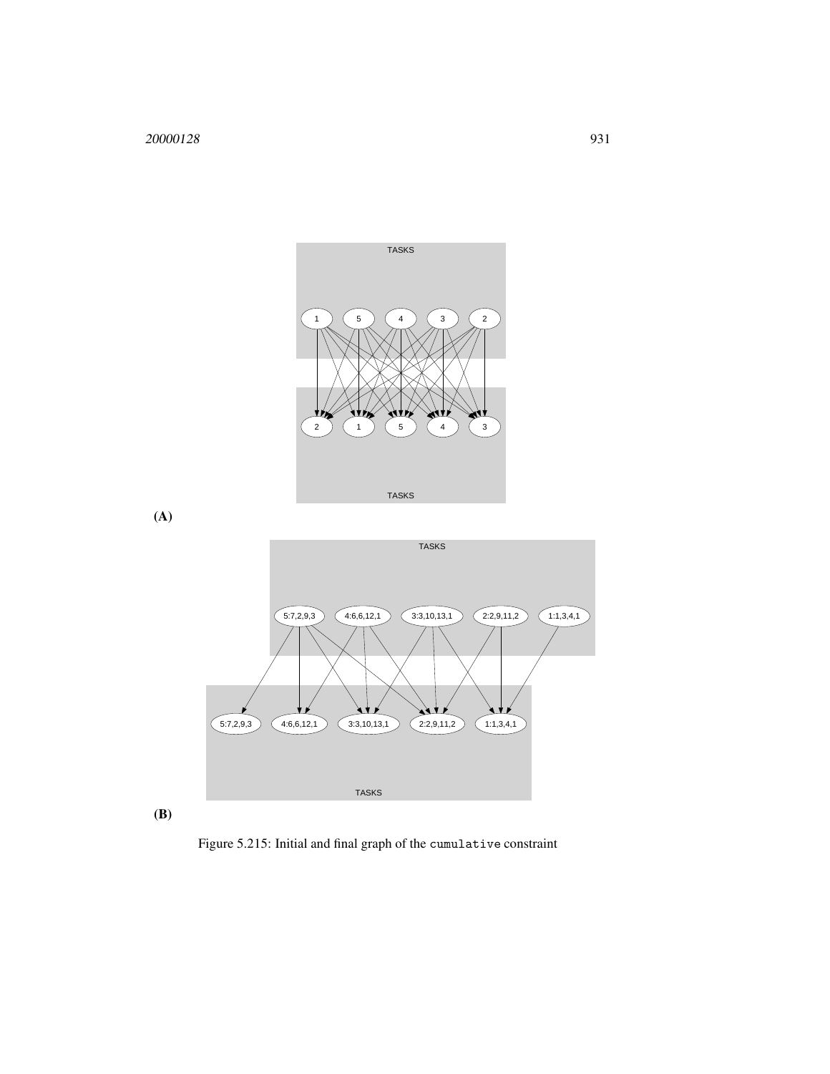

(A)



(B)

<span id="page-7-0"></span>Figure 5.215: Initial and final graph of the cumulative constraint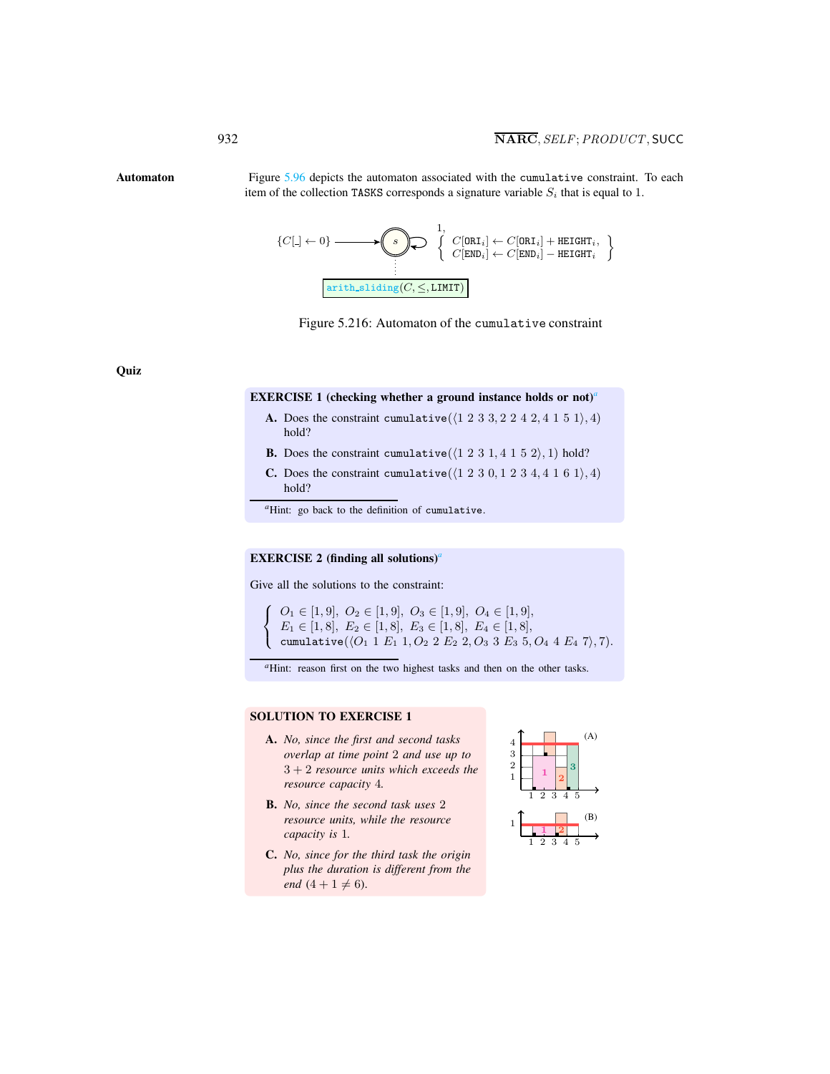<span id="page-8-1"></span>

Automaton Figure [5.96](#page-8-1) depicts the automaton associated with the cumulative constraint. To each item of the collection TASKS corresponds a signature variable  $S_i$  that is equal to 1.

<span id="page-8-0"></span>
$$
\{C[\hspace{.1cm}]\gets 0\} \longrightarrow \hspace{-6pt}\begin{Bmatrix} 1, & C[\texttt{ORI}_i] \gets C[\texttt{ORI}_i] + \texttt{HEIGHT}_i, \\ C[\texttt{END}_i] \gets C[\texttt{END}_i] - \texttt{HEIGHT}_i \end{Bmatrix}
$$
\n
$$
\boxed{\texttt{arith\_sliding}(C, \leq, \texttt{LIMIT})}
$$



**Quiz** 

#### EXERCISE 1 (checking whether a ground instance holds or not)*[a](#page-8-2)*

- A. Does the constraint cumulative( $\langle 1 2 3 3, 2 2 4 2, 4 1 5 1 \rangle$ , 4) hold?
- **B.** Does the constraint cumulative( $\langle 1 2 3 1, 4 1 5 2 \rangle$ , 1) hold?
- C. Does the constraint cumulative( $(1 2 3 0, 1 2 3 4, 4 1 6 1), 4)$ hold?

*<sup>a</sup>*Hint: go back to the definition of cumulative.

#### EXERCISE 2 (finding [a](#page-8-3)ll solutions)<sup>*a*</sup>

<span id="page-8-2"></span>Give all the solutions to the constraint:

 $\sqrt{ }$ J  $\mathcal{L}$  $O_1 \in [1, 9], O_2 \in [1, 9], O_3 \in [1, 9], O_4 \in [1, 9],$  $E_1 \in [1, 8], E_2 \in [1, 8], E_3 \in [1, 8], E_4 \in [1, 8],$ cumulative $(\langle O_1$  1  $E_1$  1,  $O_2$  2  $E_2$  2,  $O_3$  3  $E_3$  5,  $O_4$  4  $E_4$  7 $\rangle$ , 7).

<sup>*a*</sup>Hint: reason first on the two highest tasks and then on the other tasks.

### SOLUTION TO EXERCISE 1

- A. *No, since the first and second tasks overlap at time point* 2 *and use up to* 3 + 2 *resource units which exceeds the resource capacity* 4*.*
- B. *No, since the second task uses* 2 *resource units, while the resource capacity is* 1*.*
- <span id="page-8-3"></span>C. *No, since for the third task the origin plus the duration is different from the end*  $(4 + 1 \neq 6)$ .